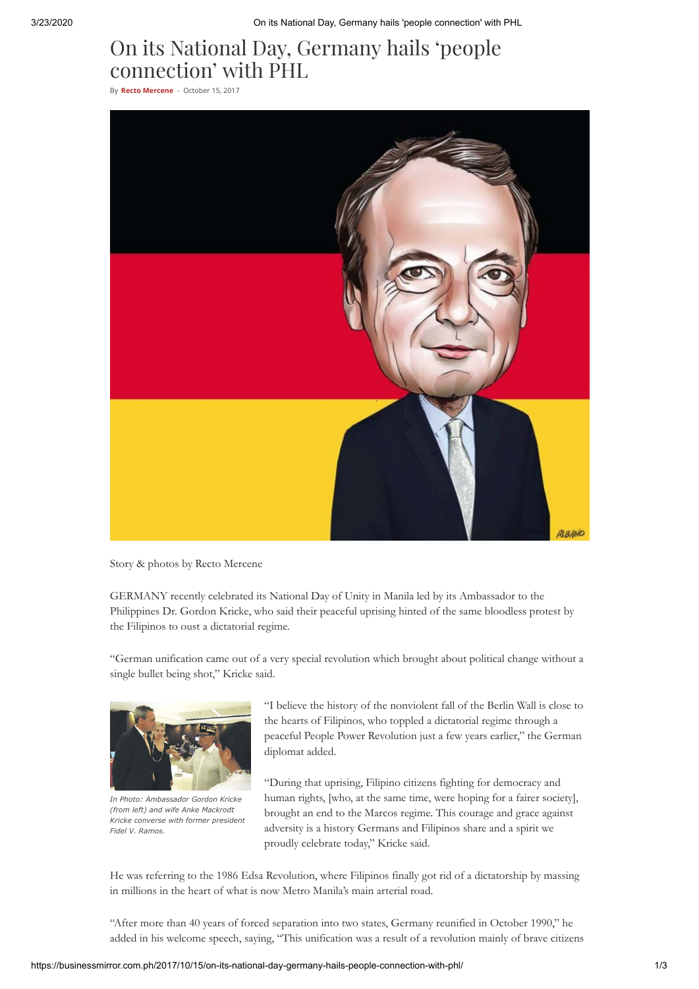# On its National Day, Germany hails 'people connection' with PHL

By **Recto [Mercene](https://businessmirror.com.ph/author/rectomercene/)** - October 15, 2017



Story & photos by Recto Mercene

GERMANY recently celebrated its National Day of Unity in Manila led by its Ambassador to the Philippines Dr. Gordon Kricke, who said their peaceful uprising hinted of the same bloodless protest by the Filipinos to oust a dictatorial regime.

"German unification came out of a very special revolution which brought about political change without a single bullet being shot," Kricke said.



*In Photo: Ambassador Gordon Kricke (from left) and wife Anke Mackrodt Kricke converse with former president Fidel V. Ramos.*

"I believe the history of the nonviolent fall of the Berlin Wall is close to the hearts of Filipinos, who toppled a dictatorial regime through a peaceful People Power Revolution just a few years earlier," the German diplomat added.

"During that uprising, Filipino citizens fighting for democracy and human rights, [who, at the same time, were hoping for a fairer society], brought an end to the Marcos regime. This courage and grace against adversity is a history Germans and Filipinos share and a spirit we proudly celebrate today," Kricke said.

He was referring to the 1986 Edsa Revolution, where Filipinos finally got rid of a dictatorship by massing in millions in the heart of what is now Metro Manila's main arterial road.

"After more than 40 years of forced separation into two states, Germany reunified in October 1990," he added in his welcome speech, saying, "This unification was a result of a revolution mainly of brave citizens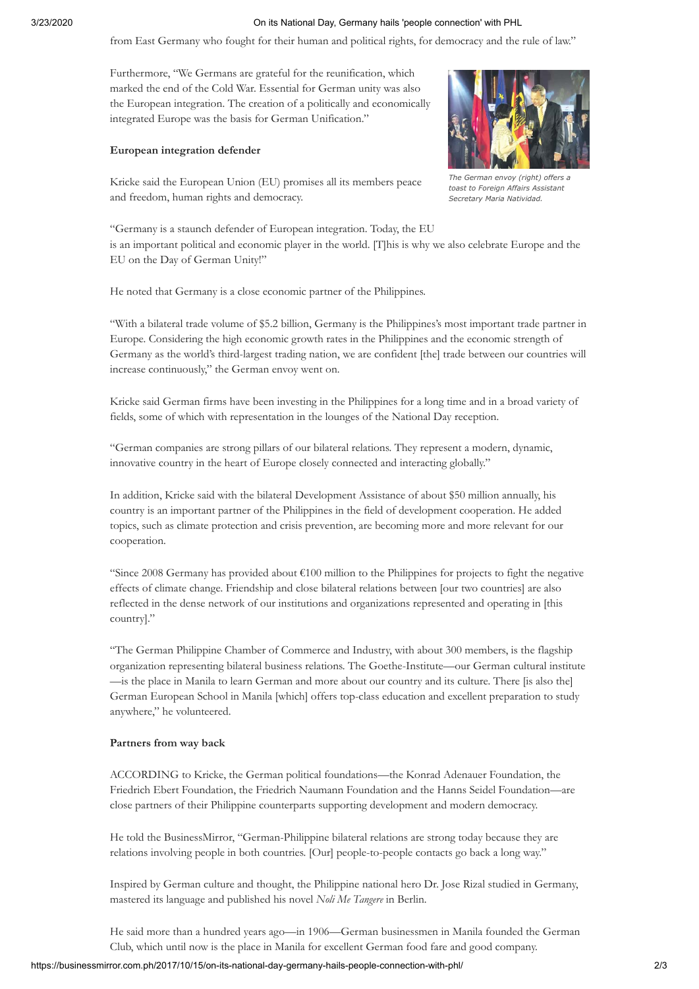#### 3/23/2020 On its National Day, Germany hails 'people connection' with PHL

from East Germany who fought for their human and political rights, for democracy and the rule of law."

Furthermore, "We Germans are grateful for the reunification, which marked the end of the Cold War. Essential for German unity was also the European integration. The creation of a politically and economically integrated Europe was the basis for German Unification."

#### **European integration defender**



*The German envoy (right) offers a toast to Foreign Affairs Assistant Secretary Maria Natividad.*

Kricke said the European Union (EU) promises all its members peace and freedom, human rights and democracy.

"Germany is a staunch defender of European integration. Today, the EU is an important political and economic player in the world. [T]his is why we also celebrate Europe and the EU on the Day of German Unity!"

He noted that Germany is a close economic partner of the Philippines.

"With a bilateral trade volume of \$5.2 billion, Germany is the Philippines's most important trade partner in Europe. Considering the high economic growth rates in the Philippines and the economic strength of Germany as the world's third-largest trading nation, we are confident [the] trade between our countries will increase continuously," the German envoy went on.

Kricke said German firms have been investing in the Philippines for a long time and in a broad variety of fields, some of which with representation in the lounges of the National Day reception.

"German companies are strong pillars of our bilateral relations. They represent a modern, dynamic, innovative country in the heart of Europe closely connected and interacting globally."

In addition, Kricke said with the bilateral Development Assistance of about \$50 million annually, his country is an important partner of the Philippines in the field of development cooperation. He added topics, such as climate protection and crisis prevention, are becoming more and more relevant for our cooperation.

"Since 2008 Germany has provided about €100 million to the Philippines for projects to fight the negative effects of climate change. Friendship and close bilateral relations between [our two countries] are also reflected in the dense network of our institutions and organizations represented and operating in [this country]."

"The German Philippine Chamber of Commerce and Industry, with about 300 members, is the flagship organization representing bilateral business relations. The Goethe-Institute—our German cultural institute —is the place in Manila to learn German and more about our country and its culture. There [is also the] German European School in Manila [which] offers top-class education and excellent preparation to study anywhere," he volunteered.

#### **Partners from way back**

ACCORDING to Kricke, the German political foundations—the Konrad Adenauer Foundation, the Friedrich Ebert Foundation, the Friedrich Naumann Foundation and the Hanns Seidel Foundation—are close partners of their Philippine counterparts supporting development and modern democracy.

He told the BusinessMirror, "German-Philippine bilateral relations are strong today because they are relations involving people in both countries. [Our] people-to-people contacts go back a long way."

Inspired by German culture and thought, the Philippine national hero Dr. Jose Rizal studied in Germany, mastered its language and published his novel *Noli Me Tangere* in Berlin.

He said more than a hundred years ago—in 1906—German businessmen in Manila founded the German Club, which until now is the place in Manila for excellent German food fare and good company.